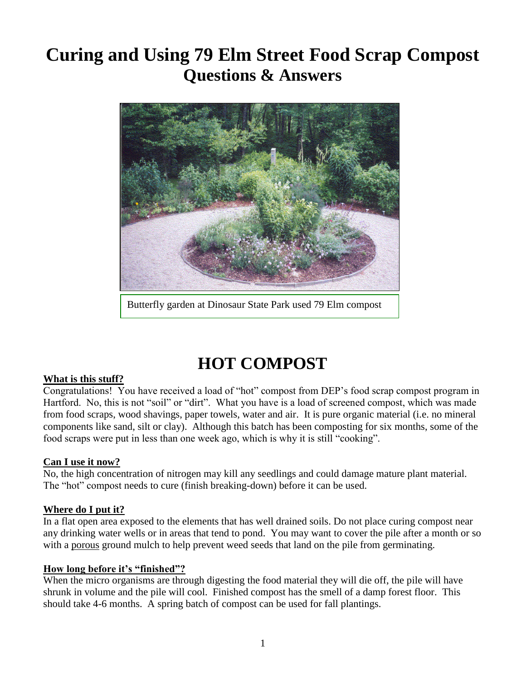# **Curing and Using 79 Elm Street Food Scrap Compost Questions & Answers**



Butterfly garden at Dinosaur State Park used 79 Elm compost

# **HOT COMPOST**

### **What is this stuff?**

Congratulations! You have received a load of "hot" compost from DEP's food scrap compost program in Hartford. No, this is not "soil" or "dirt". What you have is a load of screened compost, which was made from food scraps, wood shavings, paper towels, water and air. It is pure organic material (i.e. no mineral components like sand, silt or clay). Although this batch has been composting for six months, some of the food scraps were put in less than one week ago, which is why it is still "cooking".

### **Can I use it now?**

No, the high concentration of nitrogen may kill any seedlings and could damage mature plant material. The "hot" compost needs to cure (finish breaking-down) before it can be used.

### **Where do I put it?**

In a flat open area exposed to the elements that has well drained soils. Do not place curing compost near any drinking water wells or in areas that tend to pond. You may want to cover the pile after a month or so with a porous ground mulch to help prevent weed seeds that land on the pile from germinating.

#### **How long before it's "finished"?**

When the micro organisms are through digesting the food material they will die off, the pile will have shrunk in volume and the pile will cool. Finished compost has the smell of a damp forest floor. This should take 4-6 months. A spring batch of compost can be used for fall plantings.